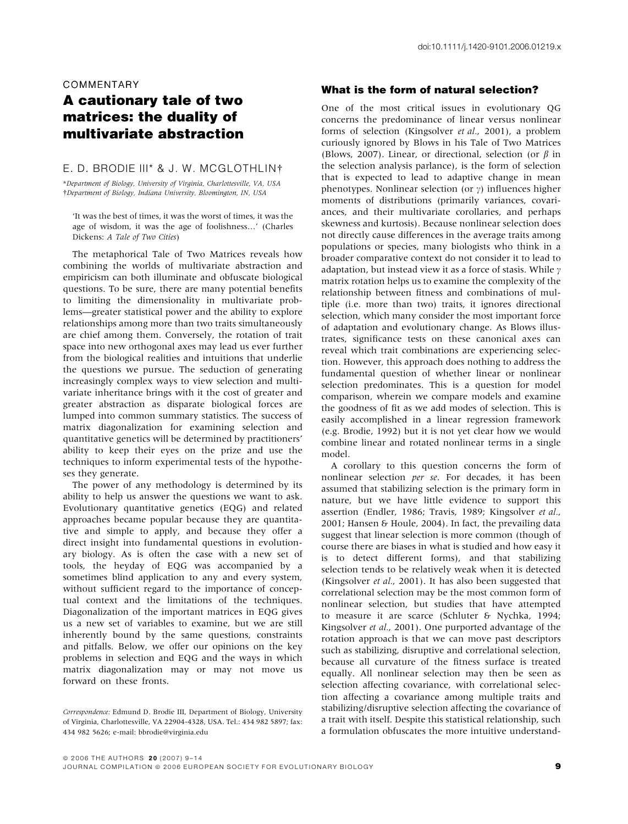#### **COMMENTARY**

# A cautionary tale of two matrices: the duality of multivariate abstraction

### E. D. BRODIE III\* & J. W. MCGLOTHLIN-

\*Department of Biology, University of Virginia, Charlottesville, VA, USA -Department of Biology, Indiana University, Bloomington, IN, USA

'It was the best of times, it was the worst of times, it was the age of wisdom, it was the age of foolishness…' (Charles Dickens: A Tale of Two Cities)

The metaphorical Tale of Two Matrices reveals how combining the worlds of multivariate abstraction and empiricism can both illuminate and obfuscate biological questions. To be sure, there are many potential benefits to limiting the dimensionality in multivariate problems—greater statistical power and the ability to explore relationships among more than two traits simultaneously are chief among them. Conversely, the rotation of trait space into new orthogonal axes may lead us ever further from the biological realities and intuitions that underlie the questions we pursue. The seduction of generating increasingly complex ways to view selection and multivariate inheritance brings with it the cost of greater and greater abstraction as disparate biological forces are lumped into common summary statistics. The success of matrix diagonalization for examining selection and quantitative genetics will be determined by practitioners' ability to keep their eyes on the prize and use the techniques to inform experimental tests of the hypotheses they generate.

The power of any methodology is determined by its ability to help us answer the questions we want to ask. Evolutionary quantitative genetics (EQG) and related approaches became popular because they are quantitative and simple to apply, and because they offer a direct insight into fundamental questions in evolutionary biology. As is often the case with a new set of tools, the heyday of EQG was accompanied by a sometimes blind application to any and every system, without sufficient regard to the importance of conceptual context and the limitations of the techniques. Diagonalization of the important matrices in EQG gives us a new set of variables to examine, but we are still inherently bound by the same questions, constraints and pitfalls. Below, we offer our opinions on the key problems in selection and EQG and the ways in which matrix diagonalization may or may not move us forward on these fronts.

### What is the form of natural selection?

One of the most critical issues in evolutionary QG concerns the predominance of linear versus nonlinear forms of selection (Kingsolver et al., 2001), a problem curiously ignored by Blows in his Tale of Two Matrices (Blows, 2007). Linear, or directional, selection (or  $\beta$  in the selection analysis parlance), is the form of selection that is expected to lead to adaptive change in mean phenotypes. Nonlinear selection (or  $\gamma$ ) influences higher moments of distributions (primarily variances, covariances, and their multivariate corollaries, and perhaps skewness and kurtosis). Because nonlinear selection does not directly cause differences in the average traits among populations or species, many biologists who think in a broader comparative context do not consider it to lead to adaptation, but instead view it as a force of stasis. While  $\gamma$ matrix rotation helps us to examine the complexity of the relationship between fitness and combinations of multiple (i.e. more than two) traits, it ignores directional selection, which many consider the most important force of adaptation and evolutionary change. As Blows illustrates, significance tests on these canonical axes can reveal which trait combinations are experiencing selection. However, this approach does nothing to address the fundamental question of whether linear or nonlinear selection predominates. This is a question for model comparison, wherein we compare models and examine the goodness of fit as we add modes of selection. This is easily accomplished in a linear regression framework (e.g. Brodie, 1992) but it is not yet clear how we would combine linear and rotated nonlinear terms in a single model.

A corollary to this question concerns the form of nonlinear selection per se. For decades, it has been assumed that stabilizing selection is the primary form in nature, but we have little evidence to support this assertion (Endler, 1986; Travis, 1989; Kingsolver et al., 2001; Hansen & Houle, 2004). In fact, the prevailing data suggest that linear selection is more common (though of course there are biases in what is studied and how easy it is to detect different forms), and that stabilizing selection tends to be relatively weak when it is detected (Kingsolver et al., 2001). It has also been suggested that correlational selection may be the most common form of nonlinear selection, but studies that have attempted to measure it are scarce (Schluter & Nychka, 1994; Kingsolver et al., 2001). One purported advantage of the rotation approach is that we can move past descriptors such as stabilizing, disruptive and correlational selection, because all curvature of the fitness surface is treated equally. All nonlinear selection may then be seen as selection affecting covariance, with correlational selection affecting a covariance among multiple traits and stabilizing/disruptive selection affecting the covariance of a trait with itself. Despite this statistical relationship, such a formulation obfuscates the more intuitive understand-

Correspondence: Edmund D. Brodie III, Department of Biology, University of Virginia, Charlottesville, VA 22904-4328, USA. Tel.: 434 982 5897; fax: 434 982 5626; e-mail: bbrodie@virginia.edu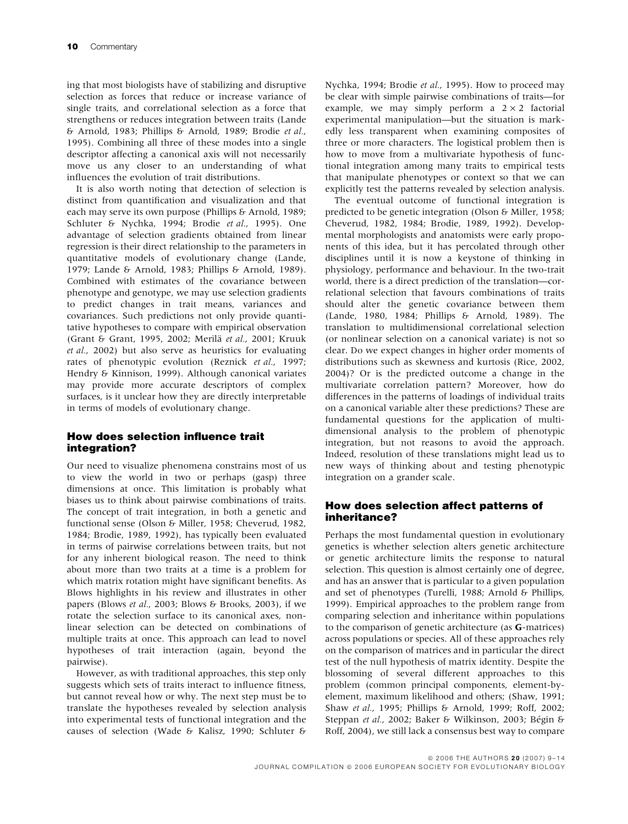ing that most biologists have of stabilizing and disruptive selection as forces that reduce or increase variance of single traits, and correlational selection as a force that strengthens or reduces integration between traits (Lande & Arnold, 1983; Phillips & Arnold, 1989; Brodie et al., 1995). Combining all three of these modes into a single descriptor affecting a canonical axis will not necessarily move us any closer to an understanding of what influences the evolution of trait distributions.

It is also worth noting that detection of selection is distinct from quantification and visualization and that each may serve its own purpose (Phillips & Arnold, 1989; Schluter & Nychka, 1994; Brodie et al., 1995). One advantage of selection gradients obtained from linear regression is their direct relationship to the parameters in quantitative models of evolutionary change (Lande, 1979; Lande & Arnold, 1983; Phillips & Arnold, 1989). Combined with estimates of the covariance between phenotype and genotype, we may use selection gradients to predict changes in trait means, variances and covariances. Such predictions not only provide quantitative hypotheses to compare with empirical observation (Grant & Grant, 1995, 2002; Merilä et al., 2001; Kruuk et al., 2002) but also serve as heuristics for evaluating rates of phenotypic evolution (Reznick et al., 1997; Hendry & Kinnison, 1999). Although canonical variates may provide more accurate descriptors of complex surfaces, is it unclear how they are directly interpretable in terms of models of evolutionary change.

## How does selection influence trait integration?

Our need to visualize phenomena constrains most of us to view the world in two or perhaps (gasp) three dimensions at once. This limitation is probably what biases us to think about pairwise combinations of traits. The concept of trait integration, in both a genetic and functional sense (Olson & Miller, 1958; Cheverud, 1982, 1984; Brodie, 1989, 1992), has typically been evaluated in terms of pairwise correlations between traits, but not for any inherent biological reason. The need to think about more than two traits at a time is a problem for which matrix rotation might have significant benefits. As Blows highlights in his review and illustrates in other papers (Blows et al., 2003; Blows & Brooks, 2003), if we rotate the selection surface to its canonical axes, nonlinear selection can be detected on combinations of multiple traits at once. This approach can lead to novel hypotheses of trait interaction (again, beyond the pairwise).

However, as with traditional approaches, this step only suggests which sets of traits interact to influence fitness, but cannot reveal how or why. The next step must be to translate the hypotheses revealed by selection analysis into experimental tests of functional integration and the causes of selection (Wade & Kalisz, 1990; Schluter &

Nychka, 1994; Brodie et al., 1995). How to proceed may be clear with simple pairwise combinations of traits—for example, we may simply perform a  $2 \times 2$  factorial experimental manipulation—but the situation is markedly less transparent when examining composites of three or more characters. The logistical problem then is how to move from a multivariate hypothesis of functional integration among many traits to empirical tests that manipulate phenotypes or context so that we can explicitly test the patterns revealed by selection analysis.

The eventual outcome of functional integration is predicted to be genetic integration (Olson & Miller, 1958; Cheverud, 1982, 1984; Brodie, 1989, 1992). Developmental morphologists and anatomists were early proponents of this idea, but it has percolated through other disciplines until it is now a keystone of thinking in physiology, performance and behaviour. In the two-trait world, there is a direct prediction of the translation—correlational selection that favours combinations of traits should alter the genetic covariance between them (Lande, 1980, 1984; Phillips & Arnold, 1989). The translation to multidimensional correlational selection (or nonlinear selection on a canonical variate) is not so clear. Do we expect changes in higher order moments of distributions such as skewness and kurtosis (Rice, 2002, 2004)? Or is the predicted outcome a change in the multivariate correlation pattern? Moreover, how do differences in the patterns of loadings of individual traits on a canonical variable alter these predictions? These are fundamental questions for the application of multidimensional analysis to the problem of phenotypic integration, but not reasons to avoid the approach. Indeed, resolution of these translations might lead us to new ways of thinking about and testing phenotypic integration on a grander scale.

# How does selection affect patterns of inheritance?

Perhaps the most fundamental question in evolutionary genetics is whether selection alters genetic architecture or genetic architecture limits the response to natural selection. This question is almost certainly one of degree, and has an answer that is particular to a given population and set of phenotypes (Turelli, 1988; Arnold & Phillips, 1999). Empirical approaches to the problem range from comparing selection and inheritance within populations to the comparison of genetic architecture (as G-matrices) across populations or species. All of these approaches rely on the comparison of matrices and in particular the direct test of the null hypothesis of matrix identity. Despite the blossoming of several different approaches to this problem (common principal components, element-byelement, maximum likelihood and others; (Shaw, 1991; Shaw et al., 1995; Phillips & Arnold, 1999; Roff, 2002; Steppan et al., 2002; Baker & Wilkinson, 2003; Bégin & Roff, 2004), we still lack a consensus best way to compare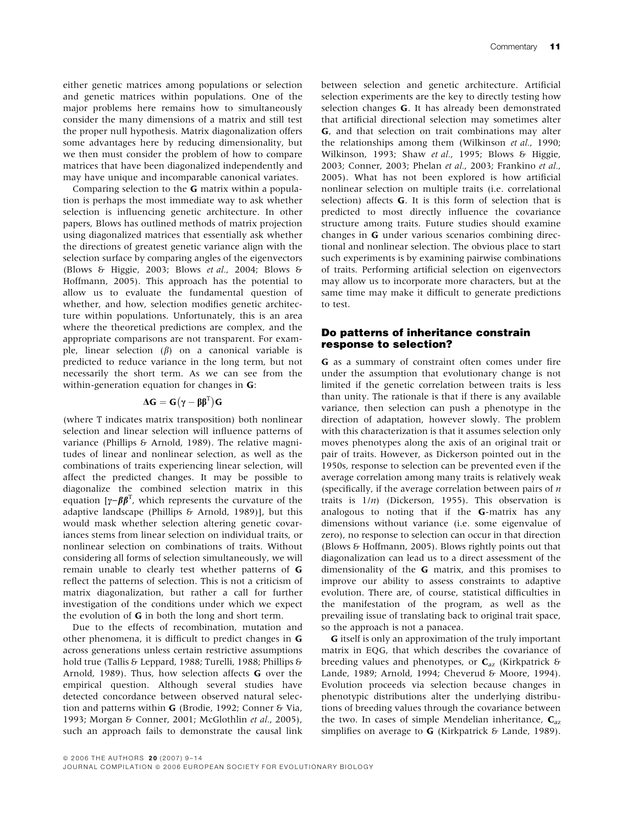either genetic matrices among populations or selection and genetic matrices within populations. One of the major problems here remains how to simultaneously consider the many dimensions of a matrix and still test the proper null hypothesis. Matrix diagonalization offers some advantages here by reducing dimensionality, but we then must consider the problem of how to compare matrices that have been diagonalized independently and may have unique and incomparable canonical variates.

Comparing selection to the G matrix within a population is perhaps the most immediate way to ask whether selection is influencing genetic architecture. In other papers, Blows has outlined methods of matrix projection using diagonalized matrices that essentially ask whether the directions of greatest genetic variance align with the selection surface by comparing angles of the eigenvectors (Blows & Higgie, 2003; Blows et al., 2004; Blows & Hoffmann, 2005). This approach has the potential to allow us to evaluate the fundamental question of whether, and how, selection modifies genetic architecture within populations. Unfortunately, this is an area where the theoretical predictions are complex, and the appropriate comparisons are not transparent. For example, linear selection  $(\beta)$  on a canonical variable is predicted to reduce variance in the long term, but not necessarily the short term. As we can see from the within-generation equation for changes in G:

# $\Delta G = G(\gamma - \beta \beta^T) G$

(where T indicates matrix transposition) both nonlinear selection and linear selection will influence patterns of variance (Phillips & Arnold, 1989). The relative magnitudes of linear and nonlinear selection, as well as the combinations of traits experiencing linear selection, will affect the predicted changes. It may be possible to diagonalize the combined selection matrix in this equation [ $\gamma-\beta\beta^T$ , which represents the curvature of the adaptive landscape (Phillips & Arnold, 1989)], but this would mask whether selection altering genetic covariances stems from linear selection on individual traits, or nonlinear selection on combinations of traits. Without considering all forms of selection simultaneously, we will remain unable to clearly test whether patterns of G reflect the patterns of selection. This is not a criticism of matrix diagonalization, but rather a call for further investigation of the conditions under which we expect the evolution of G in both the long and short term.

Due to the effects of recombination, mutation and other phenomena, it is difficult to predict changes in G across generations unless certain restrictive assumptions hold true (Tallis & Leppard, 1988; Turelli, 1988; Phillips & Arnold, 1989). Thus, how selection affects G over the empirical question. Although several studies have detected concordance between observed natural selection and patterns within G (Brodie, 1992; Conner & Via, 1993; Morgan & Conner, 2001; McGlothlin et al., 2005), such an approach fails to demonstrate the causal link

between selection and genetic architecture. Artificial selection experiments are the key to directly testing how selection changes G. It has already been demonstrated that artificial directional selection may sometimes alter G, and that selection on trait combinations may alter the relationships among them (Wilkinson et al., 1990; Wilkinson, 1993; Shaw et al., 1995; Blows & Higgie, 2003; Conner, 2003; Phelan et al., 2003; Frankino et al., 2005). What has not been explored is how artificial nonlinear selection on multiple traits (i.e. correlational selection) affects G. It is this form of selection that is predicted to most directly influence the covariance structure among traits. Future studies should examine changes in G under various scenarios combining directional and nonlinear selection. The obvious place to start such experiments is by examining pairwise combinations of traits. Performing artificial selection on eigenvectors may allow us to incorporate more characters, but at the same time may make it difficult to generate predictions to test.

### Do patterns of inheritance constrain response to selection?

G as a summary of constraint often comes under fire under the assumption that evolutionary change is not limited if the genetic correlation between traits is less than unity. The rationale is that if there is any available variance, then selection can push a phenotype in the direction of adaptation, however slowly. The problem with this characterization is that it assumes selection only moves phenotypes along the axis of an original trait or pair of traits. However, as Dickerson pointed out in the 1950s, response to selection can be prevented even if the average correlation among many traits is relatively weak (specifically, if the average correlation between pairs of  $n$ traits is 1/n) (Dickerson, 1955). This observation is analogous to noting that if the G-matrix has any dimensions without variance (i.e. some eigenvalue of zero), no response to selection can occur in that direction (Blows & Hoffmann, 2005). Blows rightly points out that diagonalization can lead us to a direct assessment of the dimensionality of the G matrix, and this promises to improve our ability to assess constraints to adaptive evolution. There are, of course, statistical difficulties in the manifestation of the program, as well as the prevailing issue of translating back to original trait space, so the approach is not a panacea.

G itself is only an approximation of the truly important matrix in EQG, that which describes the covariance of breeding values and phenotypes, or  $C_{az}$  (Kirkpatrick & Lande, 1989; Arnold, 1994; Cheverud & Moore, 1994). Evolution proceeds via selection because changes in phenotypic distributions alter the underlying distributions of breeding values through the covariance between the two. In cases of simple Mendelian inheritance,  $C_{az}$ simplifies on average to  $G$  (Kirkpatrick & Lande, 1989).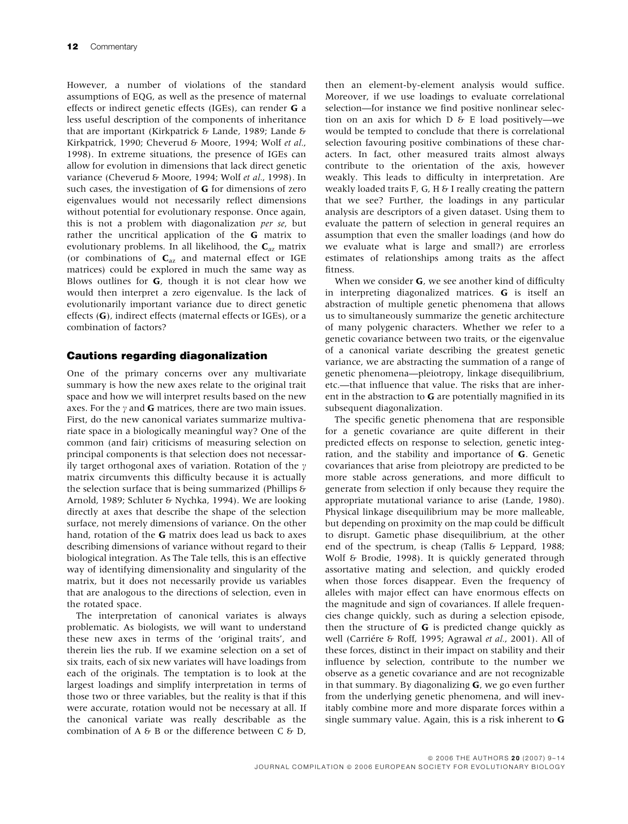However, a number of violations of the standard assumptions of EQG, as well as the presence of maternal effects or indirect genetic effects (IGEs), can render G a less useful description of the components of inheritance that are important (Kirkpatrick & Lande, 1989; Lande & Kirkpatrick, 1990; Cheverud & Moore, 1994; Wolf et al., 1998). In extreme situations, the presence of IGEs can allow for evolution in dimensions that lack direct genetic variance (Cheverud & Moore, 1994; Wolf et al., 1998). In such cases, the investigation of  $G$  for dimensions of zero eigenvalues would not necessarily reflect dimensions without potential for evolutionary response. Once again, this is not a problem with diagonalization per se, but rather the uncritical application of the G matrix to evolutionary problems. In all likelihood, the  $C_{az}$  matrix (or combinations of  $C_{az}$  and maternal effect or IGE matrices) could be explored in much the same way as Blows outlines for  $G$ , though it is not clear how we would then interpret a zero eigenvalue. Is the lack of evolutionarily important variance due to direct genetic effects (G), indirect effects (maternal effects or IGEs), or a combination of factors?

### Cautions regarding diagonalization

One of the primary concerns over any multivariate summary is how the new axes relate to the original trait space and how we will interpret results based on the new axes. For the  $\gamma$  and **G** matrices, there are two main issues. First, do the new canonical variates summarize multivariate space in a biologically meaningful way? One of the common (and fair) criticisms of measuring selection on principal components is that selection does not necessarily target orthogonal axes of variation. Rotation of the  $\gamma$ matrix circumvents this difficulty because it is actually the selection surface that is being summarized (Phillips & Arnold, 1989; Schluter & Nychka, 1994). We are looking directly at axes that describe the shape of the selection surface, not merely dimensions of variance. On the other hand, rotation of the G matrix does lead us back to axes describing dimensions of variance without regard to their biological integration. As The Tale tells, this is an effective way of identifying dimensionality and singularity of the matrix, but it does not necessarily provide us variables that are analogous to the directions of selection, even in the rotated space.

The interpretation of canonical variates is always problematic. As biologists, we will want to understand these new axes in terms of the 'original traits', and therein lies the rub. If we examine selection on a set of six traits, each of six new variates will have loadings from each of the originals. The temptation is to look at the largest loadings and simplify interpretation in terms of those two or three variables, but the reality is that if this were accurate, rotation would not be necessary at all. If the canonical variate was really describable as the combination of A  $\&$  B or the difference between C  $\&$  D, then an element-by-element analysis would suffice. Moreover, if we use loadings to evaluate correlational selection—for instance we find positive nonlinear selection on an axis for which  $D \& E$  load positively—we would be tempted to conclude that there is correlational selection favouring positive combinations of these characters. In fact, other measured traits almost always contribute to the orientation of the axis, however weakly. This leads to difficulty in interpretation. Are weakly loaded traits F, G, H & I really creating the pattern that we see? Further, the loadings in any particular analysis are descriptors of a given dataset. Using them to evaluate the pattern of selection in general requires an assumption that even the smaller loadings (and how do we evaluate what is large and small?) are errorless estimates of relationships among traits as the affect fitness.

When we consider **G**, we see another kind of difficulty in interpreting diagonalized matrices. G is itself an abstraction of multiple genetic phenomena that allows us to simultaneously summarize the genetic architecture of many polygenic characters. Whether we refer to a genetic covariance between two traits, or the eigenvalue of a canonical variate describing the greatest genetic variance, we are abstracting the summation of a range of genetic phenomena—pleiotropy, linkage disequilibrium, etc.—that influence that value. The risks that are inherent in the abstraction to  $G$  are potentially magnified in its subsequent diagonalization.

The specific genetic phenomena that are responsible for a genetic covariance are quite different in their predicted effects on response to selection, genetic integration, and the stability and importance of G. Genetic covariances that arise from pleiotropy are predicted to be more stable across generations, and more difficult to generate from selection if only because they require the appropriate mutational variance to arise (Lande, 1980). Physical linkage disequilibrium may be more malleable, but depending on proximity on the map could be difficult to disrupt. Gametic phase disequilibrium, at the other end of the spectrum, is cheap (Tallis & Leppard, 1988; Wolf & Brodie, 1998). It is quickly generated through assortative mating and selection, and quickly eroded when those forces disappear. Even the frequency of alleles with major effect can have enormous effects on the magnitude and sign of covariances. If allele frequencies change quickly, such as during a selection episode, then the structure of  $G$  is predicted change quickly as well (Carriére & Roff, 1995; Agrawal et al., 2001). All of these forces, distinct in their impact on stability and their influence by selection, contribute to the number we observe as a genetic covariance and are not recognizable in that summary. By diagonalizing G, we go even further from the underlying genetic phenomena, and will inevitably combine more and more disparate forces within a single summary value. Again, this is a risk inherent to G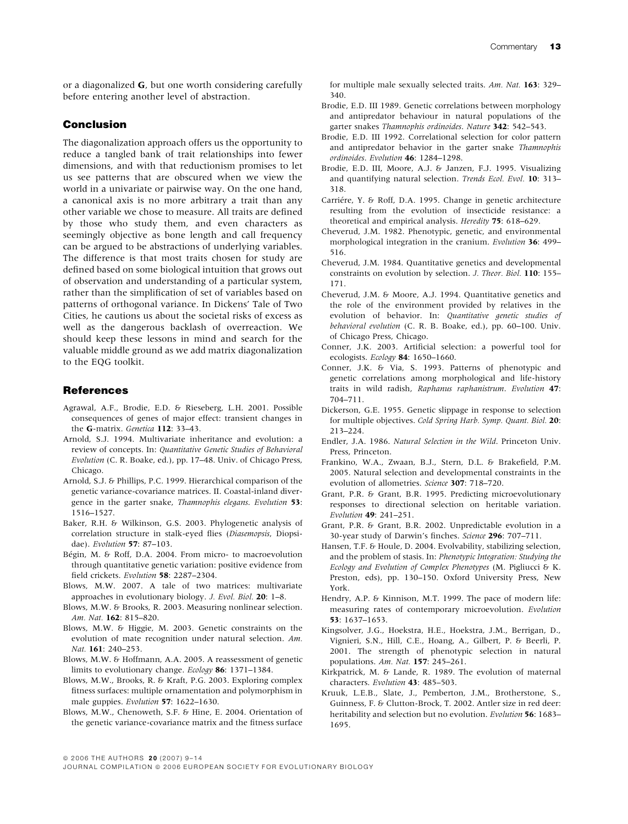or a diagonalized G, but one worth considering carefully before entering another level of abstraction.

#### Conclusion

The diagonalization approach offers us the opportunity to reduce a tangled bank of trait relationships into fewer dimensions, and with that reductionism promises to let us see patterns that are obscured when we view the world in a univariate or pairwise way. On the one hand, a canonical axis is no more arbitrary a trait than any other variable we chose to measure. All traits are defined by those who study them, and even characters as seemingly objective as bone length and call frequency can be argued to be abstractions of underlying variables. The difference is that most traits chosen for study are defined based on some biological intuition that grows out of observation and understanding of a particular system, rather than the simplification of set of variables based on patterns of orthogonal variance. In Dickens' Tale of Two Cities, he cautions us about the societal risks of excess as well as the dangerous backlash of overreaction. We should keep these lessons in mind and search for the valuable middle ground as we add matrix diagonalization to the EQG toolkit.

## **References**

- Agrawal, A.F., Brodie, E.D. & Rieseberg, L.H. 2001. Possible consequences of genes of major effect: transient changes in the G-matrix. Genetica 112: 33-43.
- Arnold, S.J. 1994. Multivariate inheritance and evolution: a review of concepts. In: Quantitative Genetic Studies of Behavioral Evolution (C. R. Boake, ed.), pp. 17–48. Univ. of Chicago Press, Chicago.
- Arnold, S.J. & Phillips, P.C. 1999. Hierarchical comparison of the genetic variance-covariance matrices. II. Coastal-inland divergence in the garter snake, Thamnophis elegans. Evolution 53: 1516–1527.
- Baker, R.H. & Wilkinson, G.S. 2003. Phylogenetic analysis of correlation structure in stalk-eyed flies (Diasemopsis, Diopsidae). Evolution 57: 87–103.
- Bégin, M. & Roff, D.A. 2004. From micro- to macroevolution through quantitative genetic variation: positive evidence from field crickets. Evolution 58: 2287–2304.
- Blows, M.W. 2007. A tale of two matrices: multivariate approaches in evolutionary biology. J. Evol. Biol. 20: 1–8.
- Blows, M.W. & Brooks, R. 2003. Measuring nonlinear selection. Am. Nat. 162: 815–820.
- Blows, M.W. & Higgie, M. 2003. Genetic constraints on the evolution of mate recognition under natural selection. Am. Nat. 161: 240-253.
- Blows, M.W. & Hoffmann, A.A. 2005. A reassessment of genetic limits to evolutionary change. Ecology 86: 1371–1384.
- Blows, M.W., Brooks, R. & Kraft, P.G. 2003. Exploring complex fitness surfaces: multiple ornamentation and polymorphism in male guppies. Evolution 57: 1622–1630.
- Blows, M.W., Chenoweth, S.F. & Hine, E. 2004. Orientation of the genetic variance-covariance matrix and the fitness surface

for multiple male sexually selected traits. Am. Nat. 163: 329– 340.

- Brodie, E.D. III 1989. Genetic correlations between morphology and antipredator behaviour in natural populations of the garter snakes Thamnophis ordinoides. Nature 342: 542–543.
- Brodie, E.D. III 1992. Correlational selection for color pattern and antipredator behavior in the garter snake Thamnophis ordinoides. Evolution 46: 1284–1298.
- Brodie, E.D. III, Moore, A.J. & Janzen, F.J. 1995. Visualizing and quantifying natural selection. Trends Ecol. Evol. 10: 313– 318.
- Carriére, Y. & Roff, D.A. 1995. Change in genetic architecture resulting from the evolution of insecticide resistance: a theoretical and empirical analysis. Heredity 75: 618–629.
- Cheverud, J.M. 1982. Phenotypic, genetic, and environmental morphological integration in the cranium. Evolution 36: 499– 516.
- Cheverud, J.M. 1984. Quantitative genetics and developmental constraints on evolution by selection. J. Theor. Biol. 110: 155– 171.
- Cheverud, J.M. & Moore, A.J. 1994. Quantitative genetics and the role of the environment provided by relatives in the evolution of behavior. In: Quantitative genetic studies of behavioral evolution (C. R. B. Boake, ed.), pp. 60–100. Univ. of Chicago Press, Chicago.
- Conner, J.K. 2003. Artificial selection: a powerful tool for ecologists. Ecology 84: 1650–1660.
- Conner, J.K. & Via, S. 1993. Patterns of phenotypic and genetic correlations among morphological and life-history traits in wild radish, Raphanus raphanistrum. Evolution 47: 704–711.
- Dickerson, G.E. 1955. Genetic slippage in response to selection for multiple objectives. Cold Spring Harb. Symp. Quant. Biol. 20: 213–224.
- Endler, J.A. 1986. Natural Selection in the Wild. Princeton Univ. Press, Princeton.
- Frankino, W.A., Zwaan, B.J., Stern, D.L. & Brakefield, P.M. 2005. Natural selection and developmental constraints in the evolution of allometries. Science 307: 718–720.
- Grant, P.R. & Grant, B.R. 1995. Predicting microevolutionary responses to directional selection on heritable variation. Evolution 49: 241–251.
- Grant, P.R. & Grant, B.R. 2002. Unpredictable evolution in a 30-year study of Darwin's finches. Science 296: 707–711.
- Hansen, T.F. & Houle, D. 2004. Evolvability, stabilizing selection, and the problem of stasis. In: Phenotypic Integration: Studying the Ecology and Evolution of Complex Phenotypes (M. Pigliucci & K. Preston, eds), pp. 130–150. Oxford University Press, New York.
- Hendry, A.P. & Kinnison, M.T. 1999. The pace of modern life: measuring rates of contemporary microevolution. Evolution 53: 1637–1653.
- Kingsolver, J.G., Hoekstra, H.E., Hoekstra, J.M., Berrigan, D., Vignieri, S.N., Hill, C.E., Hoang, A., Gilbert, P. & Beerli, P. 2001. The strength of phenotypic selection in natural populations. Am. Nat. 157: 245–261.
- Kirkpatrick, M. & Lande, R. 1989. The evolution of maternal characters. Evolution 43: 485–503.
- Kruuk, L.E.B., Slate, J., Pemberton, J.M., Brotherstone, S., Guinness, F. & Clutton-Brock, T. 2002. Antler size in red deer: heritability and selection but no evolution. Evolution 56: 1683– 1695.

<sup>© 2006</sup> THE AUTHORS 20 (2007) 9-14 JOURNAL COMPILATION @ 2006 EUROPEAN SOCIETY FOR EVOLUTIONARY BIOLOGY